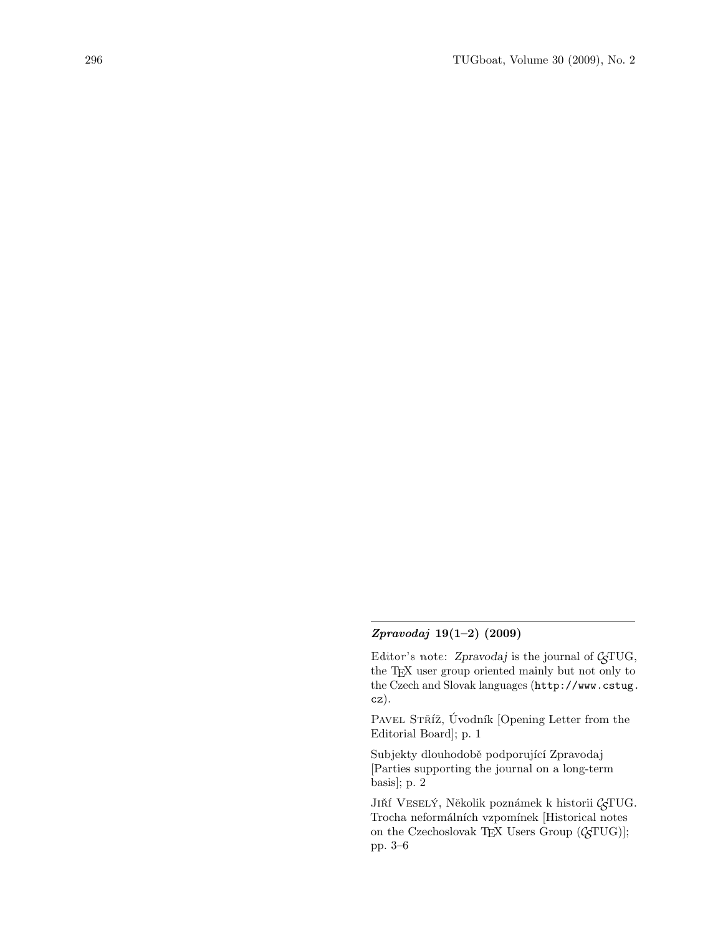## Zpravodaj 19(1–2) (2009)

Editor's note: Zpravodaj is the journal of  $\mathcal{G}TUG$ , the TEX user group oriented mainly but not only to the Czech and Slovak languages (http://www.cstug. cz).

PAVEL STŘÍŽ, Úvodník [Opening Letter from the Editorial Board]; p. 1

Subjekty dlouhodobě podporující Zpravodaj [Parties supporting the journal on a long-term basis]; p. 2

J<br/>ıňí V<code>ESELÝ</code>, Několik poznámek k historii <br/>  $\mathcal{G}\mathbf{T}\mathbf{U}\mathbf{G}.$  $Trocha$  neformálních vzpomínek [Historical notes on the Czechoslovak TEX Users Group  $(\mathcal{C}$ TUG)]; pp. 3–6